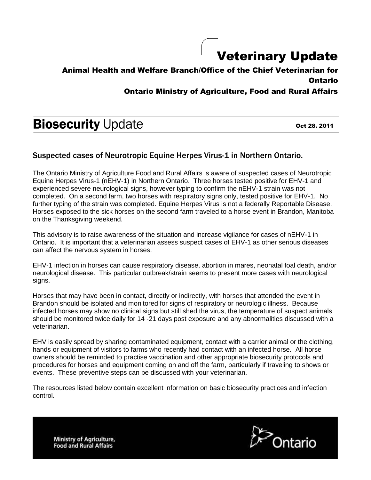## Veterinary Update

## Animal Health and Welfare Branch/Office of the Chief Veterinarian for Ontario

## Ontario Ministry of Agriculture, Food and Rural Affairs

# **Biosecurity Update**

Oct 28, 2011

## Suspected cases of Neurotropic Equine Herpes Virus-1 in Northern Ontario.

The Ontario Ministry of Agriculture Food and Rural Affairs is aware of suspected cases of Neurotropic Equine Herpes Virus-1 (nEHV-1) in Northern Ontario. Three horses tested positive for EHV-1 and experienced severe neurological signs, however typing to confirm the nEHV-1 strain was not completed. On a second farm, two horses with respiratory signs only, tested positive for EHV-1. No further typing of the strain was completed. Equine Herpes Virus is not a federally Reportable Disease. Horses exposed to the sick horses on the second farm traveled to a horse event in Brandon, Manitoba on the Thanksgiving weekend.

This advisory is to raise awareness of the situation and increase vigilance for cases of nEHV-1 in Ontario. It is important that a veterinarian assess suspect cases of EHV-1 as other serious diseases can affect the nervous system in horses.

EHV-1 infection in horses can cause respiratory disease, abortion in mares, neonatal foal death, and/or neurological disease. This particular outbreak/strain seems to present more cases with neurological signs.

Horses that may have been in contact, directly or indirectly, with horses that attended the event in Brandon should be isolated and monitored for signs of respiratory or neurologic illness. Because infected horses may show no clinical signs but still shed the virus, the temperature of suspect animals should be monitored twice daily for 14 -21 days post exposure and any abnormalities discussed with a veterinarian.

EHV is easily spread by sharing contaminated equipment, contact with a carrier animal or the clothing, hands or equipment of visitors to farms who recently had contact with an infected horse. All horse owners should be reminded to practise vaccination and other appropriate biosecurity protocols and procedures for horses and equipment coming on and off the farm, particularly if traveling to shows or events. These preventive steps can be discussed with your veterinarian.

The resources listed below contain excellent information on basic biosecurity practices and infection control.

Ontario

**Ministry of Agriculture, Food and Rural Affairs**